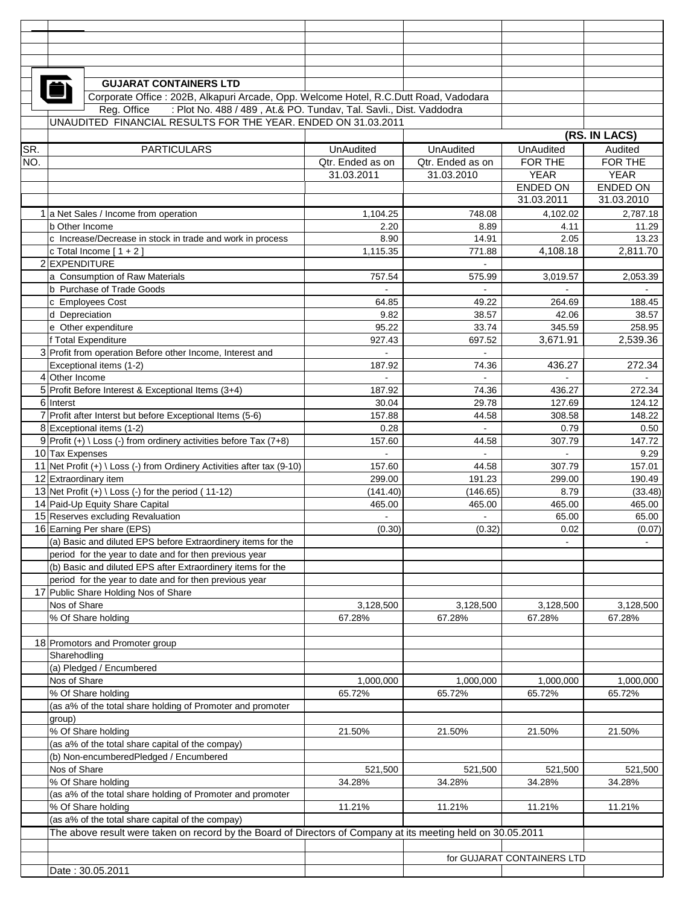|            | <b>GUJARAT CONTAINERS LTD</b>                                                                                |                                      |                                      |                                   |                    |  |
|------------|--------------------------------------------------------------------------------------------------------------|--------------------------------------|--------------------------------------|-----------------------------------|--------------------|--|
|            | Corporate Office : 202B, Alkapuri Arcade, Opp. Welcome Hotel, R.C.Dutt Road, Vadodara                        |                                      |                                      |                                   |                    |  |
|            | Reg. Office<br>: Plot No. 488 / 489, At.& PO. Tundav, Tal. Savli., Dist. Vaddodra                            |                                      |                                      |                                   |                    |  |
|            | UNAUDITED FINANCIAL RESULTS FOR THE YEAR. ENDED ON 31.03.2011                                                |                                      |                                      |                                   |                    |  |
|            |                                                                                                              |                                      |                                      | (RS. IN LACS)<br><b>UnAudited</b> |                    |  |
| SR.<br>NO. | <b>PARTICULARS</b>                                                                                           | <b>UnAudited</b><br>Qtr. Ended as on | <b>UnAudited</b><br>Qtr. Ended as on | FOR THE                           | Audited<br>FOR THE |  |
|            |                                                                                                              | 31.03.2011                           | 31.03.2010                           | <b>YEAR</b>                       | <b>YEAR</b>        |  |
|            |                                                                                                              |                                      |                                      | <b>ENDED ON</b>                   | ENDED ON           |  |
|            |                                                                                                              |                                      |                                      | 31.03.2011                        | 31.03.2010         |  |
|            | 1 a Net Sales / Income from operation                                                                        | 1,104.25                             | 748.08                               | 4,102.02                          | 2,787.18           |  |
|            | b Other Income                                                                                               | 2.20<br>8.90                         | 8.89<br>14.91                        | 4.11<br>2.05                      | 11.29<br>13.23     |  |
|            | c Increase/Decrease in stock in trade and work in process<br>c Total Income $[1 + 2]$                        | 1,115.35                             | 771.88                               | 4,108.18                          | 2,811.70           |  |
|            | 2 EXPENDITURE                                                                                                |                                      |                                      |                                   |                    |  |
|            | a Consumption of Raw Materials                                                                               | 757.54                               | 575.99                               | 3,019.57                          | 2,053.39           |  |
|            | b Purchase of Trade Goods                                                                                    |                                      |                                      |                                   |                    |  |
|            | c Employees Cost                                                                                             | 64.85                                | 49.22                                | 264.69                            | 188.45             |  |
|            | d Depreciation<br>e Other expenditure                                                                        | 9.82<br>95.22                        | 38.57<br>33.74                       | 42.06<br>345.59                   | 38.57<br>258.95    |  |
|            | f Total Expenditure                                                                                          | 927.43                               | 697.52                               | 3,671.91                          | 2,539.36           |  |
|            | 3 Profit from operation Before other Income, Interest and                                                    | $\blacksquare$                       | $\mathbf{r}$                         |                                   |                    |  |
|            | Exceptional items (1-2)                                                                                      | 187.92                               | 74.36                                | 436.27                            | 272.34             |  |
|            | 4 Other Income                                                                                               |                                      |                                      |                                   |                    |  |
|            | 5 Profit Before Interest & Exceptional Items (3+4)                                                           | 187.92                               | 74.36                                | 436.27                            | 272.34             |  |
|            | 6 Interst<br>7 Profit after Interst but before Exceptional Items (5-6)                                       | 30.04<br>157.88                      | 29.78<br>44.58                       | 127.69<br>308.58                  | 124.12<br>148.22   |  |
|            | 8 Exceptional items (1-2)                                                                                    | 0.28                                 | $\sim$                               | 0.79                              | 0.50               |  |
|            | 9 Profit (+) \ Loss (-) from ordinery activities before Tax (7+8)                                            | 157.60                               | 44.58                                | 307.79                            | 147.72             |  |
|            | 10 Tax Expenses                                                                                              |                                      |                                      |                                   | 9.29               |  |
|            | 11 Net Profit $(+) \setminus Loss$ (-) from Ordinery Activities after tax (9-10)                             | 157.60                               | 44.58                                | 307.79                            | 157.01             |  |
|            | 12 Extraordinary item                                                                                        | 299.00                               | 191.23                               | 299.00                            | 190.49             |  |
|            | 13 Net Profit $(+) \setminus$ Loss $(-)$ for the period $(11-12)$<br>14 Paid-Up Equity Share Capital         | (141.40)<br>465.00                   | (146.65)<br>465.00                   | 8.79<br>465.00                    | (33.48)<br>465.00  |  |
|            | 15 Reserves excluding Revaluation                                                                            | $\blacksquare$                       |                                      | 65.00                             | 65.00              |  |
|            | 16 Earning Per share (EPS)                                                                                   | (0.30)                               | (0.32)                               | 0.02                              | (0.07)             |  |
|            | (a) Basic and diluted EPS before Extraordinery items for the                                                 |                                      |                                      |                                   |                    |  |
|            | period for the year to date and for then previous year                                                       |                                      |                                      |                                   |                    |  |
|            | (b) Basic and diluted EPS after Extraordinery items for the                                                  |                                      |                                      |                                   |                    |  |
|            | period for the year to date and for then previous year<br>17 Public Share Holding Nos of Share               |                                      |                                      |                                   |                    |  |
|            | Nos of Share                                                                                                 | 3,128,500                            | 3,128,500                            | 3,128,500                         | 3,128,500          |  |
|            | % Of Share holding                                                                                           | 67.28%                               | 67.28%                               | 67.28%                            | 67.28%             |  |
|            |                                                                                                              |                                      |                                      |                                   |                    |  |
|            | 18 Promotors and Promoter group                                                                              |                                      |                                      |                                   |                    |  |
|            | Sharehodling<br>(a) Pledged / Encumbered                                                                     |                                      |                                      |                                   |                    |  |
|            | Nos of Share                                                                                                 | 1,000,000                            | 1,000,000                            | 1,000,000                         | 1,000,000          |  |
|            | % Of Share holding                                                                                           | 65.72%                               | 65.72%                               | 65.72%                            | 65.72%             |  |
|            | (as a% of the total share holding of Promoter and promoter                                                   |                                      |                                      |                                   |                    |  |
|            | group)                                                                                                       |                                      |                                      |                                   |                    |  |
|            | % Of Share holding                                                                                           | 21.50%                               | 21.50%                               | 21.50%                            | 21.50%             |  |
|            | (as a% of the total share capital of the compay)<br>(b) Non-encumberedPledged / Encumbered                   |                                      |                                      |                                   |                    |  |
|            | Nos of Share                                                                                                 | 521,500                              | 521,500                              | 521,500                           | 521,500            |  |
|            | % Of Share holding                                                                                           | 34.28%                               | 34.28%                               | 34.28%                            | 34.28%             |  |
|            | (as a% of the total share holding of Promoter and promoter                                                   |                                      |                                      |                                   |                    |  |
|            | % Of Share holding                                                                                           | 11.21%                               | 11.21%                               | 11.21%                            | 11.21%             |  |
|            | (as a% of the total share capital of the compay)                                                             |                                      |                                      |                                   |                    |  |
|            | The above result were taken on record by the Board of Directors of Company at its meeting held on 30.05.2011 |                                      |                                      |                                   |                    |  |
|            |                                                                                                              |                                      |                                      | for GUJARAT CONTAINERS LTD        |                    |  |
|            | Date: 30.05.2011                                                                                             |                                      |                                      |                                   |                    |  |